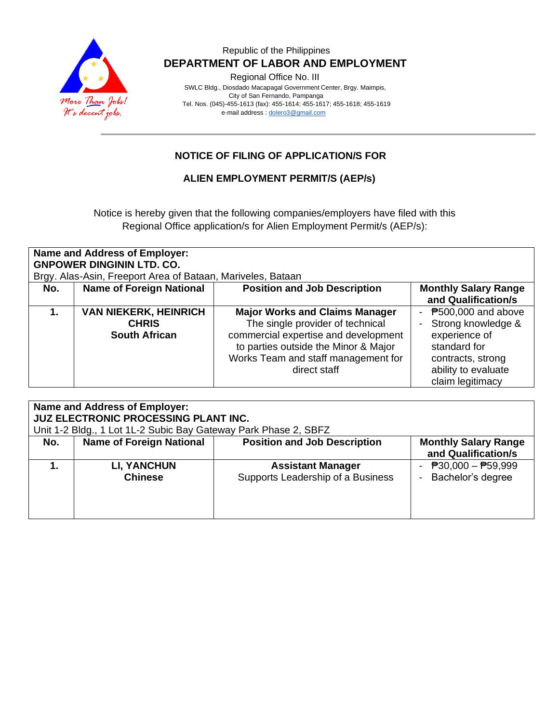

## Republic of the Philippines  **DEPARTMENT OF LABOR AND EMPLOYMENT**

Regional Office No. III

 SWLC Bldg., Diosdado Macapagal Government Center, Brgy. Maimpis, City of San Fernando, Pampanga Tel. Nos. (045)-455-1613 (fax): 455-1614; 455-1617; 455-1618; 455-1619 e-mail address [: dolero3@gmail.com](mailto:dolero3@gmail.com)

# **NOTICE OF FILING OF APPLICATION/S FOR**

### **ALIEN EMPLOYMENT PERMIT/S (AEP/s)**

Notice is hereby given that the following companies/employers have filed with this Regional Office application/s for Alien Employment Permit/s (AEP/s):

| <b>Name and Address of Employer:</b><br><b>GNPOWER DINGININ LTD. CO.</b> |                              |                                       |                             |  |  |  |
|--------------------------------------------------------------------------|------------------------------|---------------------------------------|-----------------------------|--|--|--|
| Brgy. Alas-Asin, Freeport Area of Bataan, Mariveles, Bataan              |                              |                                       |                             |  |  |  |
| No.                                                                      | Name of Foreign National     | <b>Position and Job Description</b>   | <b>Monthly Salary Range</b> |  |  |  |
|                                                                          |                              |                                       | and Qualification/s         |  |  |  |
|                                                                          | <b>VAN NIEKERK, HEINRICH</b> | <b>Major Works and Claims Manager</b> | ₱500,000 and above          |  |  |  |
|                                                                          | <b>CHRIS</b>                 | The single provider of technical      | Strong knowledge &          |  |  |  |
|                                                                          | <b>South African</b>         | commercial expertise and development  | experience of               |  |  |  |
|                                                                          |                              | to parties outside the Minor & Major  | standard for                |  |  |  |
|                                                                          |                              | Works Team and staff management for   | contracts, strong           |  |  |  |
|                                                                          |                              | direct staff                          | ability to evaluate         |  |  |  |
|                                                                          |                              |                                       | claim legitimacy            |  |  |  |

| <b>Name and Address of Employer:</b><br><b>JUZ ELECTRONIC PROCESSING PLANT INC.</b> |                                      |                                                               |                                                    |  |  |  |
|-------------------------------------------------------------------------------------|--------------------------------------|---------------------------------------------------------------|----------------------------------------------------|--|--|--|
| Unit 1-2 Bldg., 1 Lot 1L-2 Subic Bay Gateway Park Phase 2, SBFZ                     |                                      |                                                               |                                                    |  |  |  |
| No.                                                                                 | <b>Name of Foreign National</b>      | <b>Position and Job Description</b>                           | <b>Monthly Salary Range</b><br>and Qualification/s |  |  |  |
|                                                                                     | <b>LI, YANCHUN</b><br><b>Chinese</b> | <b>Assistant Manager</b><br>Supports Leadership of a Business | - $P30,000 - P59,999$<br>Bachelor's degree         |  |  |  |